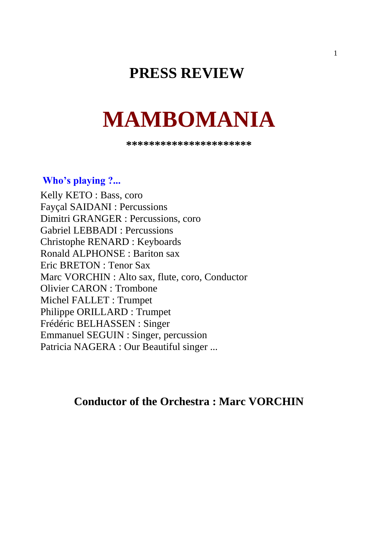# **PRESS REVIEW**

# **MAMBOMANIA**

**\*\*\*\*\*\*\*\*\*\*\*\*\*\*\*\*\*\*\*\*\*\***

#### **Who's playing ?...**

Kelly KETO : Bass, coro Fayçal SAIDANI : Percussions Dimitri GRANGER : Percussions, coro Gabriel LEBBADI : Percussions Christophe RENARD : Keyboards Ronald ALPHONSE : Bariton sax Eric BRETON : Tenor Sax Marc VORCHIN : Alto sax, flute, coro, Conductor Olivier CARON : Trombone Michel FALLET : Trumpet Philippe ORILLARD : Trumpet Frédéric BELHASSEN : Singer Emmanuel SEGUIN : Singer, percussion Patricia NAGERA : Our Beautiful singer ...

## **Conductor of the Orchestra : Marc VORCHIN**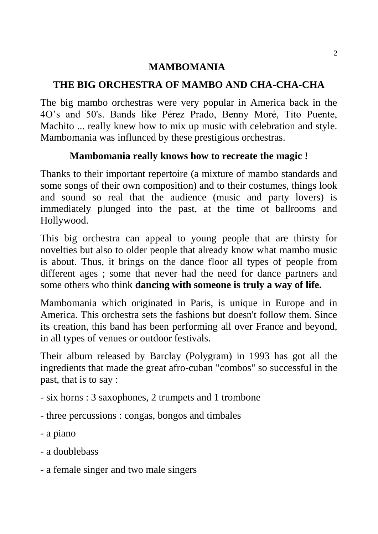### **MAMBOMANIA**

### **THE BIG ORCHESTRA OF MAMBO AND CHA-CHA-CHA**

The big mambo orchestras were very popular in America back in the 4O's and 50's. Bands like Pérez Prado, Benny Moré, Tito Puente, Machito ... really knew how to mix up music with celebration and style. Mambomania was influnced by these prestigious orchestras.

### **Mambomania really knows how to recreate the magic !**

Thanks to their important repertoire (a mixture of mambo standards and some songs of their own composition) and to their costumes, things look and sound so real that the audience (music and party lovers) is immediately plunged into the past, at the time ot ballrooms and Hollywood.

This big orchestra can appeal to young people that are thirsty for novelties but also to older people that already know what mambo music is about. Thus, it brings on the dance floor all types of people from different ages ; some that never had the need for dance partners and some others who think **dancing with someone is truly a way of life.**

Mambomania which originated in Paris, is unique in Europe and in America. This orchestra sets the fashions but doesn't follow them. Since its creation, this band has been performing all over France and beyond, in all types of venues or outdoor festivals.

Their album released by Barclay (Polygram) in 1993 has got all the ingredients that made the great afro-cuban "combos" so successful in the past, that is to say :

- six horns : 3 saxophones, 2 trumpets and 1 trombone
- three percussions : congas, bongos and timbales
- a piano
- a doublebass
- a female singer and two male singers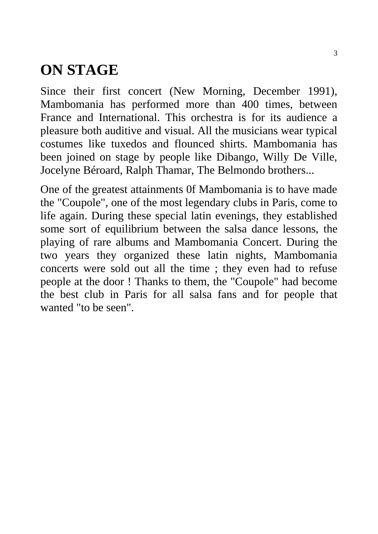# **ON STAGE**

Since their first concert (New Morning, December 1991), Mambomania has performed more than 400 times, between France and International. This orchestra is for its audience a pleasure both auditive and visual. All the musicians wear typical costumes like tuxedos and flounced shirts. Mambomania has been joined on stage by people like Dibango, Willy De Ville, Jocelyne Béroard, Ralph Thamar, The Belmondo brothers...

One of the greatest attainments 0f Mambomania is to have made the "Coupole", one of the most legendary clubs in Paris, come to life again. During these special latin evenings, they established some sort of equilibrium between the salsa dance lessons, the playing of rare albums and Mambomania Concert. During the two years they organized these latin nights, Mambomania concerts were sold out all the time ; they even had to refuse people at the door ! Thanks to them, the "Coupole" had become the best club in Paris for all salsa fans and for people that wanted "to be seen".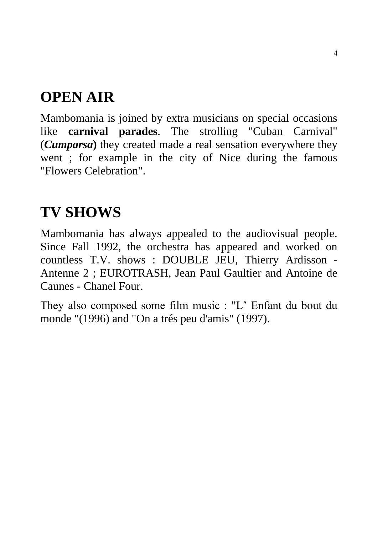# **OPEN AIR**

Mambomania is joined by extra musicians on special occasions like **carnival parades**. The strolling "Cuban Carnival" (*Cumparsa***)** they created made a real sensation everywhere they went ; for example in the city of Nice during the famous "Flowers Celebration".

# **TV SHOWS**

Mambomania has always appealed to the audiovisual people. Since Fall 1992, the orchestra has appeared and worked on countless T.V. shows : DOUBLE JEU, Thierry Ardisson - Antenne 2 ; EUROTRASH, Jean Paul Gaultier and Antoine de Caunes - Chanel Four.

They also composed some film music : "L' Enfant du bout du monde "(1996) and "On a trés peu d'amis" (1997).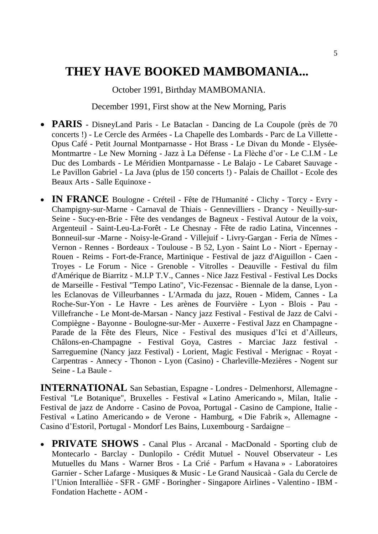# **THEY HAVE BOOKED MAMBOMANIA...**

October 1991, Birthday MAMBOMANIA.

December 1991, First show at the New Morning, Paris

- **PARIS -** DisneyLand Paris Le Bataclan Dancing de La Coupole (près de 70 concerts !) - Le Cercle des Armées - La Chapelle des Lombards - Parc de La Villette - Opus Café - Petit Journal Montparnasse - Hot Brass - Le Divan du Monde - Elysée-Montmartre - Le New Morning - Jazz à La Défense - La Flèche d'or - Le C.I.M - Le Duc des Lombards - Le Méridien Montparnasse - Le Balajo - Le Cabaret Sauvage - Le Pavillon Gabriel - La Java (plus de 150 concerts !) - Palais de Chaillot - Ecole des Beaux Arts - Salle Equinoxe -
- **IN FRANCE** Boulogne Créteil Fête de l'Humanité Clichy Torcy Evry Champigny-sur-Marne - Carnaval de Thiais - Gennevilliers - Drancy - Neuilly-sur-Seine - Sucy-en-Brie - Fête des vendanges de Bagneux - Festival Autour de la voix, Argenteuil - Saint-Leu-La-Forêt - Le Chesnay - Fête de radio Latina, Vincennes - Bonneuil-sur -Marne - Noisy-le-Grand - Villejuif - Livry-Gargan - Feria de Nîmes - Vernon - Rennes - Bordeaux - Toulouse - B 52, Lyon - Saint Lo - Niort - Epernay - Rouen - Reims - Fort-de-France, Martinique - Festival de jazz d'Aiguillon - Caen - Troyes - Le Forum - Nice - Grenoble - Vitrolles - Deauville - Festival du film d'Amérique de Biarritz - M.I.P T.V., Cannes - Nice Jazz Festival - Festival Les Docks de Marseille - Festival "Tempo Latino", Vic-Fezensac - Biennale de la danse, Lyon les Eclanovas de Villeurbannes - L'Armada du jazz, Rouen - Midem, Cannes - La Roche-Sur-Yon - Le Havre - Les arènes de Fourvière - Lyon - Blois - Pau - Villefranche - Le Mont-de-Marsan - Nancy jazz Festival - Festival de Jazz de Calvi - Compiègne - Bayonne - Boulogne-sur-Mer - Auxerre - Festival Jazz en Champagne - Parade de la Fête des Fleurs, Nice - Festival des musiques d'Ici et d'Ailleurs, Châlons-en-Champagne - Festival Goya, Castres - Marciac Jazz festival - Sarreguemine (Nancy jazz Festival) - Lorient, Magic Festival - Merignac - Royat - Carpentras - Annecy - Thonon - Lyon (Casino) - Charleville-Mezières - Nogent sur Seine - La Baule -

**INTERNATIONAL** San Sebastian, Espagne - Londres - Delmenhorst, Allemagne - Festival "Le Botanique", Bruxelles - Festival « Latino Americando », Milan, Italie - Festival de jazz de Andorre - Casino de Povoa, Portugal - Casino de Campione, Italie - Festival « Latino Americando » de Verone - Hamburg, « Die Fabrik », Allemagne - Casino d'Estoril, Portugal - Mondorf Les Bains, Luxembourg - Sardaigne –

 **PRIVATE SHOWS -** Canal Plus - Arcanal - MacDonald - Sporting club de Montecarlo - Barclay - Dunlopilo - Crédit Mutuel - Nouvel Observateur - Les Mutuelles du Mans - Warner Bros - La Crié - Parfum « Havana » - Laboratoires Garnier - Scher Lafarge - Musiques & Music - Le Grand Nausicaà - Gala du Cercle de l'Union Interalliée - SFR - GMF - Boringher - Singapore Airlines - Valentino - IBM - Fondation Hachette - AOM -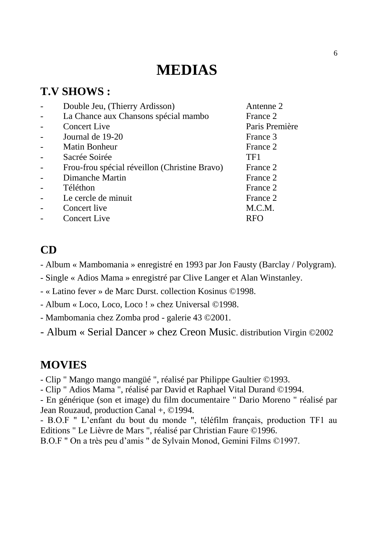# **MEDIAS**

### **T.V SHOWS :**

| Double Jeu, (Thierry Ardisson)                | Antenne 2      |
|-----------------------------------------------|----------------|
| La Chance aux Chansons spécial mambo          | France 2       |
| <b>Concert Live</b>                           | Paris Première |
| Journal de 19-20                              | France 3       |
| <b>Matin Bonheur</b>                          | France 2       |
| Sacrée Soirée                                 | TF1            |
| Frou-frou spécial réveillon (Christine Bravo) | France 2       |
| Dimanche Martin                               | France 2       |
| Téléthon                                      | France 2       |
| Le cercle de minuit                           | France 2       |
| Concert live                                  | M.C.M.         |
| <b>Concert Live</b>                           | <b>RFO</b>     |
|                                               |                |

### **CD**

- Album « Mambomania » enregistré en 1993 par Jon Fausty (Barclay / Polygram).
- Single « Adios Mama » enregistré par Clive Langer et Alan Winstanley.
- « Latino fever » de Marc Durst. collection Kosinus ©1998.
- Album « Loco, Loco, Loco ! » chez Universal ©1998.
- Mambomania chez Zomba prod galerie 43 ©2001.
- Album « Serial Dancer » chez Creon Music. distribution Virgin ©2002

### **MOVIES**

- Clip " Mango mango mangüé ", réalisé par Philippe Gaultier ©1993.
- Clip " Adios Mama ", réalisé par David et Raphael Vital Durand ©1994.

- En générique (son et image) du film documentaire " Dario Moreno " réalisé par Jean Rouzaud, production Canal +, ©1994.

- B.O.F " L'enfant du bout du monde ", téléfilm français, production TF1 au Editions " Le Lièvre de Mars ", réalisé par Christian Faure ©1996.

B.O.F " On a très peu d'amis " de Sylvain Monod, Gemini Films ©1997.